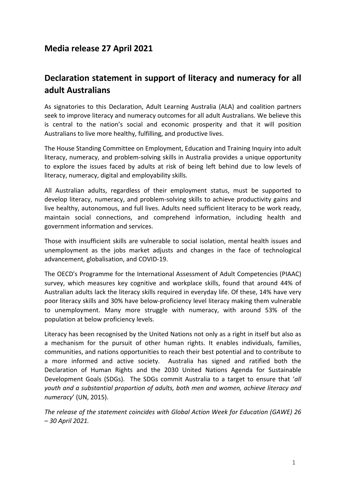# **Media release 27 April 2021**

# **Declaration statement in support of literacy and numeracy for all adult Australians**

As signatories to this Declaration, Adult Learning Australia (ALA) and coalition partners seek to improve literacy and numeracy outcomes for all adult Australians. We believe this is central to the nation's social and economic prosperity and that it will position Australians to live more healthy, fulfilling, and productive lives.

The House Standing Committee on Employment, Education and Training Inquiry into adult literacy, numeracy, and problem-solving skills in Australia provides a unique opportunity to explore the issues faced by adults at risk of being left behind due to low levels of literacy, numeracy, digital and employability skills.

All Australian adults, regardless of their employment status, must be supported to develop literacy, numeracy, and problem-solving skills to achieve productivity gains and live healthy, autonomous, and full lives. Adults need sufficient literacy to be work ready, maintain social connections, and comprehend information, including health and government information and services.

Those with insufficient skills are vulnerable to social isolation, mental health issues and unemployment as the jobs market adjusts and changes in the face of technological advancement, globalisation, and COVID-19.

The OECD's Programme for the International Assessment of Adult Competencies (PIAAC) survey, which measures key cognitive and workplace skills, found that around 44% of Australian adults lack the literacy skills required in everyday life. Of these, 14% have very poor literacy skills and 30% have below-proficiency level literacy making them vulnerable to unemployment. Many more struggle with numeracy, with around 53% of the population at below proficiency levels.

Literacy has been recognised by the United Nations not only as a right in itself but also as a mechanism for the pursuit of other human rights. It enables individuals, families, communities, and nations opportunities to reach their best potential and to contribute to a more informed and active society. Australia has signed and ratified both the Declaration of Human Rights and the 2030 United Nations Agenda for Sustainable Development Goals (SDGs). The SDGs commit Australia to a target to ensure that '*all youth and a substantial proportion of adults, both men and women, achieve literacy and numeracy*' (UN, 2015).

*The release of the statement coincides with Global Action Week for Education (GAWE) 26 – 30 April 2021.*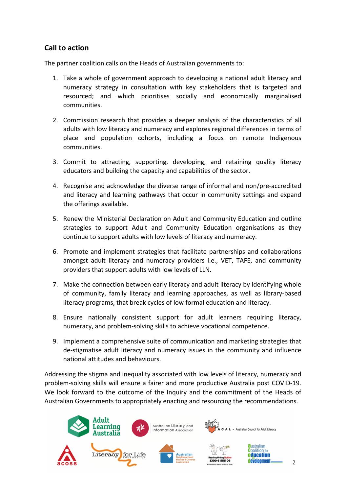# **Call to action**

The partner coalition calls on the Heads of Australian governments to:

- 1. Take a whole of government approach to developing a national adult literacy and numeracy strategy in consultation with key stakeholders that is targeted and resourced; and which prioritises socially and economically marginalised communities.
- 2. Commission research that provides a deeper analysis of the characteristics of all adults with low literacy and numeracy and explores regional differences in terms of place and population cohorts, including a focus on remote Indigenous communities.
- 3. Commit to attracting, supporting, developing, and retaining quality literacy educators and building the capacity and capabilities of the sector.
- 4. Recognise and acknowledge the diverse range of informal and non/pre-accredited and literacy and learning pathways that occur in community settings and expand the offerings available.
- 5. Renew the Ministerial Declaration on Adult and Community Education and outline strategies to support Adult and Community Education organisations as they continue to support adults with low levels of literacy and numeracy.
- 6. Promote and implement strategies that facilitate partnerships and collaborations amongst adult literacy and numeracy providers i.e., VET, TAFE, and community providers that support adults with low levels of LLN.
- 7. Make the connection between early literacy and adult literacy by identifying whole of community, family literacy and learning approaches, as well as library-based literacy programs, that break cycles of low formal education and literacy.
- 8. Ensure nationally consistent support for adult learners requiring literacy, numeracy, and problem-solving skills to achieve vocational competence.
- 9. Implement a comprehensive suite of communication and marketing strategies that de-stigmatise adult literacy and numeracy issues in the community and influence national attitudes and behaviours.

Addressing the stigma and inequality associated with low levels of literacy, numeracy and problem-solving skills will ensure a fairer and more productive Australia post COVID-19. We look forward to the outcome of the Inquiry and the commitment of the Heads of Australian Governments to appropriately enacting and resourcing the recommendations.